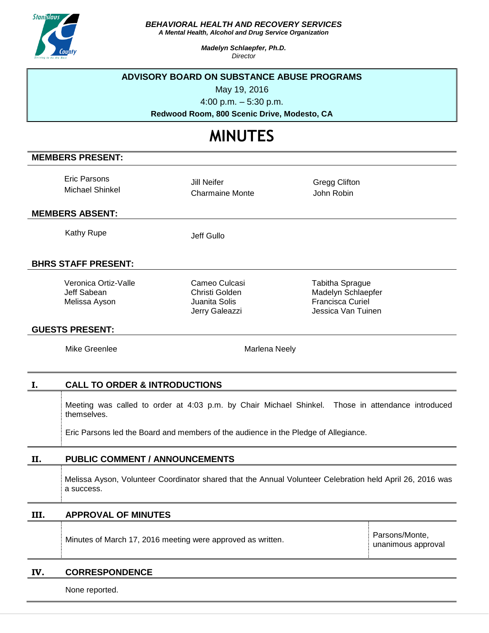

*BEHAVIORAL HEALTH AND RECOVERY SERVICES*

*A Mental Health, Alcohol and Drug Service Organization*

*Madelyn Schlaepfer, Ph.D. Director*

### **ADVISORY BOARD ON SUBSTANCE ABUSE PROGRAMS**

May 19, 2016

4:00 p.m. – 5:30 p.m.

**Redwood Room, 800 Scenic Drive, Modesto, CA**

# **MINUTES**

# **MEMBERS PRESENT:**

Eric Parsons Michael Shinkel

Jill Neifer Charmaine Monte Gregg Clifton John Robin

#### **MEMBERS ABSENT:**

Kathy Rupe Jeff Gullo

# **BHRS STAFF PRESENT:**

Veronica Ortiz-Valle Jeff Sabean Melissa Ayson

Cameo Culcasi Christi Golden Juanita Solis Jerry Galeazzi

Tabitha Sprague Madelyn Schlaepfer Francisca Curiel Jessica Van Tuinen

#### **GUESTS PRESENT:**

Mike Greenlee Marlena Neely

# **I. CALL TO ORDER & INTRODUCTIONS**

Meeting was called to order at 4:03 p.m. by Chair Michael Shinkel. Those in attendance introduced themselves.

Eric Parsons led the Board and members of the audience in the Pledge of Allegiance.

# **II. PUBLIC COMMENT / ANNOUNCEMENTS**

Melissa Ayson, Volunteer Coordinator shared that the Annual Volunteer Celebration held April 26, 2016 was a success.

# **III. APPROVAL OF MINUTES**

Minutes of March 17, 2016 meeting were approved as written.

Parsons/Monte, unanimous approval

#### **IV. CORRESPONDENCE**

None reported.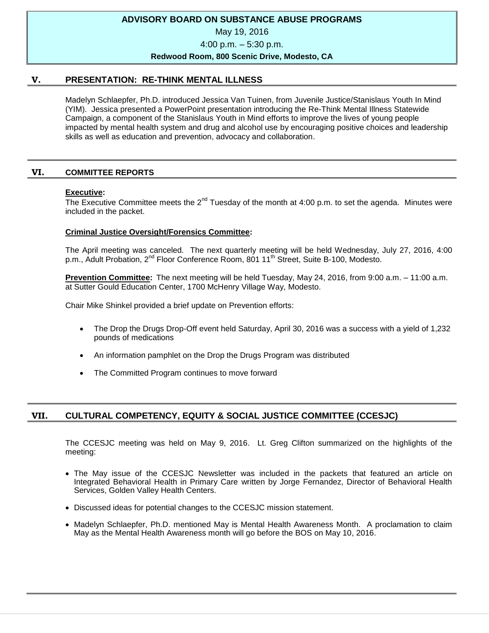# **ADVISORY BOARD ON SUBSTANCE ABUSE PROGRAMS**

May 19, 2016

4:00 p.m. – 5:30 p.m.

#### **Redwood Room, 800 Scenic Drive, Modesto, CA**

# **V. PRESENTATION: RE-THINK MENTAL ILLNESS**

Madelyn Schlaepfer, Ph.D. introduced Jessica Van Tuinen, from Juvenile Justice/Stanislaus Youth In Mind (YIM). Jessica presented a PowerPoint presentation introducing the Re-Think Mental Illness Statewide Campaign, a component of the Stanislaus Youth in Mind efforts to improve the lives of young people impacted by mental health system and drug and alcohol use by encouraging positive choices and leadership skills as well as education and prevention, advocacy and collaboration.

# **VI. COMMITTEE REPORTS**

# **Executive:**

The Executive Committee meets the  $2^{nd}$  Tuesday of the month at 4:00 p.m. to set the agenda. Minutes were included in the packet.

# **Criminal Justice Oversight/Forensics Committee:**

The April meeting was canceled. The next quarterly meeting will be held Wednesday, July 27, 2016, 4:00 p.m., Adult Probation, 2<sup>nd</sup> Floor Conference Room, 801 11<sup>th</sup> Street, Suite B-100, Modesto.

**Prevention Committee:** The next meeting will be held Tuesday, May 24, 2016, from 9:00 a.m. – 11:00 a.m. at Sutter Gould Education Center, 1700 McHenry Village Way, Modesto.

Chair Mike Shinkel provided a brief update on Prevention efforts:

- The Drop the Drugs Drop-Off event held Saturday, April 30, 2016 was a success with a yield of 1,232 pounds of medications
- An information pamphlet on the Drop the Drugs Program was distributed
- The Committed Program continues to move forward

# **VII. CULTURAL COMPETENCY, EQUITY & SOCIAL JUSTICE COMMITTEE (CCESJC)**

The CCESJC meeting was held on May 9, 2016. Lt. Greg Clifton summarized on the highlights of the meeting:

- The May issue of the CCESJC Newsletter was included in the packets that featured an article on Integrated Behavioral Health in Primary Care written by Jorge Fernandez, Director of Behavioral Health Services, Golden Valley Health Centers.
- Discussed ideas for potential changes to the CCESJC mission statement.
- Madelyn Schlaepfer, Ph.D. mentioned May is Mental Health Awareness Month. A proclamation to claim May as the Mental Health Awareness month will go before the BOS on May 10, 2016.